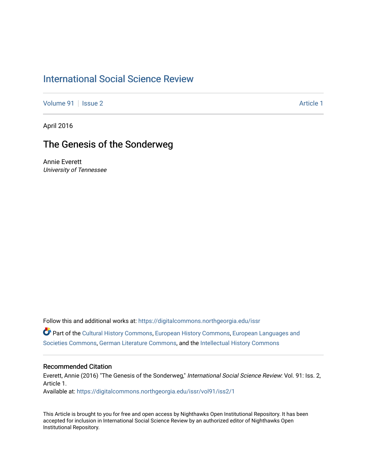## [International Social Science Review](https://digitalcommons.northgeorgia.edu/issr)

[Volume 91](https://digitalcommons.northgeorgia.edu/issr/vol91) | [Issue 2](https://digitalcommons.northgeorgia.edu/issr/vol91/iss2) Article 1

April 2016

# The Genesis of the Sonderweg

Annie Everett University of Tennessee

Follow this and additional works at: [https://digitalcommons.northgeorgia.edu/issr](https://digitalcommons.northgeorgia.edu/issr?utm_source=digitalcommons.northgeorgia.edu%2Fissr%2Fvol91%2Fiss2%2F1&utm_medium=PDF&utm_campaign=PDFCoverPages) Part of the [Cultural History Commons](https://network.bepress.com/hgg/discipline/496?utm_source=digitalcommons.northgeorgia.edu%2Fissr%2Fvol91%2Fiss2%2F1&utm_medium=PDF&utm_campaign=PDFCoverPages), [European History Commons,](https://network.bepress.com/hgg/discipline/492?utm_source=digitalcommons.northgeorgia.edu%2Fissr%2Fvol91%2Fiss2%2F1&utm_medium=PDF&utm_campaign=PDFCoverPages) [European Languages and](https://network.bepress.com/hgg/discipline/482?utm_source=digitalcommons.northgeorgia.edu%2Fissr%2Fvol91%2Fiss2%2F1&utm_medium=PDF&utm_campaign=PDFCoverPages)  [Societies Commons](https://network.bepress.com/hgg/discipline/482?utm_source=digitalcommons.northgeorgia.edu%2Fissr%2Fvol91%2Fiss2%2F1&utm_medium=PDF&utm_campaign=PDFCoverPages), [German Literature Commons](https://network.bepress.com/hgg/discipline/469?utm_source=digitalcommons.northgeorgia.edu%2Fissr%2Fvol91%2Fiss2%2F1&utm_medium=PDF&utm_campaign=PDFCoverPages), and the [Intellectual History Commons](https://network.bepress.com/hgg/discipline/501?utm_source=digitalcommons.northgeorgia.edu%2Fissr%2Fvol91%2Fiss2%2F1&utm_medium=PDF&utm_campaign=PDFCoverPages)

#### Recommended Citation

Everett, Annie (2016) "The Genesis of the Sonderweg," International Social Science Review: Vol. 91: Iss. 2, Article 1. Available at: [https://digitalcommons.northgeorgia.edu/issr/vol91/iss2/1](https://digitalcommons.northgeorgia.edu/issr/vol91/iss2/1?utm_source=digitalcommons.northgeorgia.edu%2Fissr%2Fvol91%2Fiss2%2F1&utm_medium=PDF&utm_campaign=PDFCoverPages)

This Article is brought to you for free and open access by Nighthawks Open Institutional Repository. It has been accepted for inclusion in International Social Science Review by an authorized editor of Nighthawks Open Institutional Repository.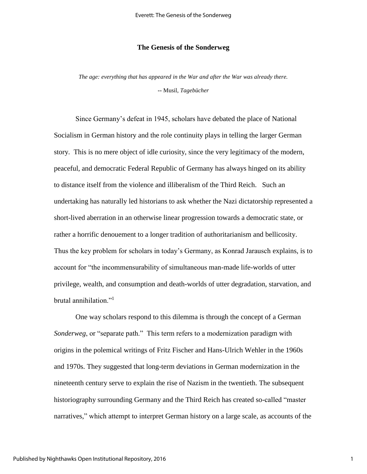#### **The Genesis of the Sonderweg**

*The age: everything that has appeared in the War and after the War was already there.*

**--** Musil, *Tagebücher*

Since Germany's defeat in 1945, scholars have debated the place of National Socialism in German history and the role continuity plays in telling the larger German story. This is no mere object of idle curiosity, since the very legitimacy of the modern, peaceful, and democratic Federal Republic of Germany has always hinged on its ability to distance itself from the violence and illiberalism of the Third Reich. Such an undertaking has naturally led historians to ask whether the Nazi dictatorship represented a short-lived aberration in an otherwise linear progression towards a democratic state, or rather a horrific denouement to a longer tradition of authoritarianism and bellicosity. Thus the key problem for scholars in today's Germany, as Konrad Jarausch explains, is to account for "the incommensurability of simultaneous man-made life-worlds of utter privilege, wealth, and consumption and death-worlds of utter degradation, starvation, and brutal annihilation."<sup>1</sup>

One way scholars respond to this dilemma is through the concept of a German *Sonderweg*, or "separate path." This term refers to a modernization paradigm with origins in the polemical writings of Fritz Fischer and Hans-Ulrich Wehler in the 1960s and 1970s. They suggested that long-term deviations in German modernization in the nineteenth century serve to explain the rise of Nazism in the twentieth. The subsequent historiography surrounding Germany and the Third Reich has created so-called "master narratives," which attempt to interpret German history on a large scale, as accounts of the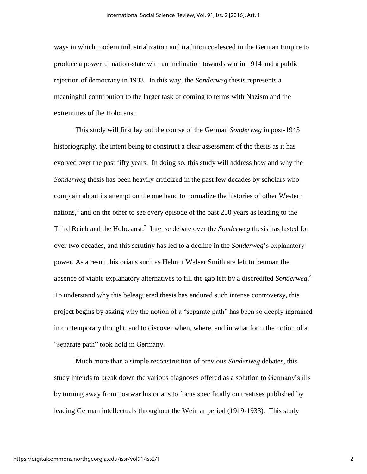ways in which modern industrialization and tradition coalesced in the German Empire to produce a powerful nation-state with an inclination towards war in 1914 and a public rejection of democracy in 1933. In this way, the *Sonderweg* thesis represents a meaningful contribution to the larger task of coming to terms with Nazism and the extremities of the Holocaust.

This study will first lay out the course of the German *Sonderweg* in post-1945 historiography, the intent being to construct a clear assessment of the thesis as it has evolved over the past fifty years. In doing so, this study will address how and why the *Sonderweg* thesis has been heavily criticized in the past few decades by scholars who complain about its attempt on the one hand to normalize the histories of other Western nations,<sup>2</sup> and on the other to see every episode of the past  $250$  years as leading to the Third Reich and the Holocaust.<sup>3</sup> Intense debate over the *Sonderweg* thesis has lasted for over two decades, and this scrutiny has led to a decline in the *Sonderweg*'s explanatory power. As a result, historians such as Helmut Walser Smith are left to bemoan the absence of viable explanatory alternatives to fill the gap left by a discredited *Sonderweg*. 4 To understand why this beleaguered thesis has endured such intense controversy, this project begins by asking why the notion of a "separate path" has been so deeply ingrained in contemporary thought, and to discover when, where, and in what form the notion of a "separate path" took hold in Germany.

Much more than a simple reconstruction of previous *Sonderweg* debates, this study intends to break down the various diagnoses offered as a solution to Germany's ills by turning away from postwar historians to focus specifically on treatises published by leading German intellectuals throughout the Weimar period (1919-1933). This study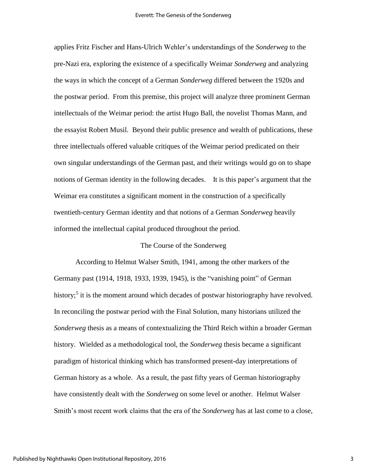applies Fritz Fischer and Hans-Ulrich Wehler's understandings of the *Sonderweg* to the pre-Nazi era, exploring the existence of a specifically Weimar *Sonderweg* and analyzing the ways in which the concept of a German *Sonderweg* differed between the 1920s and the postwar period. From this premise, this project will analyze three prominent German intellectuals of the Weimar period: the artist Hugo Ball, the novelist Thomas Mann, and the essayist Robert Musil. Beyond their public presence and wealth of publications, these three intellectuals offered valuable critiques of the Weimar period predicated on their own singular understandings of the German past, and their writings would go on to shape notions of German identity in the following decades. It is this paper's argument that the Weimar era constitutes a significant moment in the construction of a specifically twentieth-century German identity and that notions of a German *Sonderweg* heavily informed the intellectual capital produced throughout the period.

#### The Course of the Sonderweg

According to Helmut Walser Smith, 1941, among the other markers of the Germany past (1914, 1918, 1933, 1939, 1945), is the "vanishing point" of German history;<sup>5</sup> it is the moment around which decades of postwar historiography have revolved. In reconciling the postwar period with the Final Solution, many historians utilized the *Sonderweg* thesis as a means of contextualizing the Third Reich within a broader German history. Wielded as a methodological tool, the *Sonderweg* thesis became a significant paradigm of historical thinking which has transformed present-day interpretations of German history as a whole. As a result, the past fifty years of German historiography have consistently dealt with the *Sonderweg* on some level or another. Helmut Walser Smith's most recent work claims that the era of the *Sonderweg* has at last come to a close,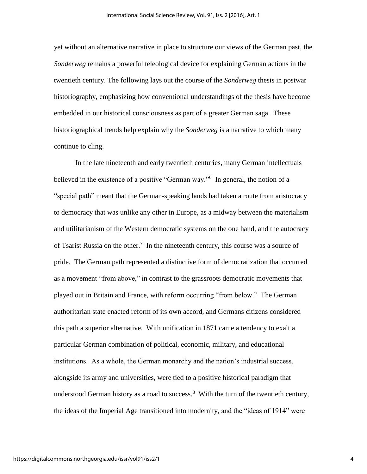yet without an alternative narrative in place to structure our views of the German past, the *Sonderweg* remains a powerful teleological device for explaining German actions in the twentieth century. The following lays out the course of the *Sonderweg* thesis in postwar historiography, emphasizing how conventional understandings of the thesis have become embedded in our historical consciousness as part of a greater German saga. These historiographical trends help explain why the *Sonderweg* is a narrative to which many continue to cling.

In the late nineteenth and early twentieth centuries, many German intellectuals believed in the existence of a positive "German way."<sup>6</sup> In general, the notion of a "special path" meant that the German-speaking lands had taken a route from aristocracy to democracy that was unlike any other in Europe, as a midway between the materialism and utilitarianism of the Western democratic systems on the one hand, and the autocracy of Tsarist Russia on the other.<sup>7</sup> In the nineteenth century, this course was a source of pride. The German path represented a distinctive form of democratization that occurred as a movement "from above," in contrast to the grassroots democratic movements that played out in Britain and France, with reform occurring "from below." The German authoritarian state enacted reform of its own accord, and Germans citizens considered this path a superior alternative. With unification in 1871 came a tendency to exalt a particular German combination of political, economic, military, and educational institutions. As a whole, the German monarchy and the nation's industrial success, alongside its army and universities, were tied to a positive historical paradigm that understood German history as a road to success. $8$  With the turn of the twentieth century, the ideas of the Imperial Age transitioned into modernity, and the "ideas of 1914" were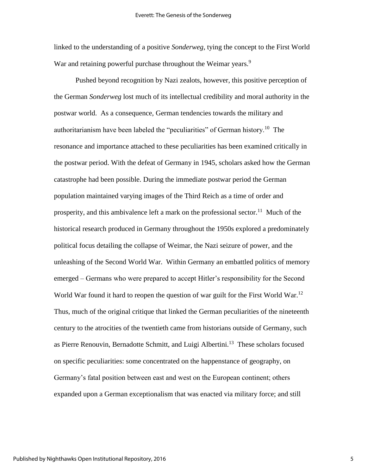linked to the understanding of a positive *Sonderweg*, tying the concept to the First World War and retaining powerful purchase throughout the Weimar years.<sup>9</sup>

Pushed beyond recognition by Nazi zealots, however, this positive perception of the German *Sonderweg* lost much of its intellectual credibility and moral authority in the postwar world. As a consequence, German tendencies towards the military and authoritarianism have been labeled the "peculiarities" of German history.<sup>10</sup> The resonance and importance attached to these peculiarities has been examined critically in the postwar period. With the defeat of Germany in 1945, scholars asked how the German catastrophe had been possible. During the immediate postwar period the German population maintained varying images of the Third Reich as a time of order and prosperity, and this ambivalence left a mark on the professional sector.<sup>11</sup> Much of the historical research produced in Germany throughout the 1950s explored a predominately political focus detailing the collapse of Weimar, the Nazi seizure of power, and the unleashing of the Second World War. Within Germany an embattled politics of memory emerged – Germans who were prepared to accept Hitler's responsibility for the Second World War found it hard to reopen the question of war guilt for the First World War.<sup>12</sup> Thus, much of the original critique that linked the German peculiarities of the nineteenth century to the atrocities of the twentieth came from historians outside of Germany, such as Pierre Renouvin, Bernadotte Schmitt, and Luigi Albertini.<sup>13</sup> These scholars focused on specific peculiarities: some concentrated on the happenstance of geography, on Germany's fatal position between east and west on the European continent; others expanded upon a German exceptionalism that was enacted via military force; and still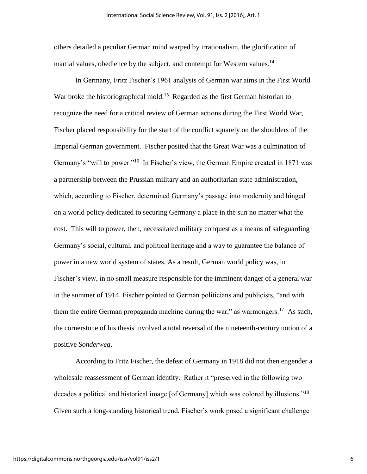others detailed a peculiar German mind warped by irrationalism, the glorification of martial values, obedience by the subject, and contempt for Western values.<sup>14</sup>

In Germany, Fritz Fischer's 1961 analysis of German war aims in the First World War broke the historiographical mold.<sup>15</sup> Regarded as the first German historian to recognize the need for a critical review of German actions during the First World War, Fischer placed responsibility for the start of the conflict squarely on the shoulders of the Imperial German government. Fischer posited that the Great War was a culmination of Germany's "will to power."<sup>16</sup> In Fischer's view, the German Empire created in 1871 was a partnership between the Prussian military and an authoritarian state administration, which, according to Fischer, determined Germany's passage into modernity and hinged on a world policy dedicated to securing Germany a place in the sun no matter what the cost. This will to power, then, necessitated military conquest as a means of safeguarding Germany's social, cultural, and political heritage and a way to guarantee the balance of power in a new world system of states. As a result, German world policy was, in Fischer's view, in no small measure responsible for the imminent danger of a general war in the summer of 1914. Fischer pointed to German politicians and publicists, "and with them the entire German propaganda machine during the war," as warmongers.<sup>17</sup> As such, the cornerstone of his thesis involved a total reversal of the nineteenth-century notion of a positive *Sonderweg*.

According to Fritz Fischer, the defeat of Germany in 1918 did not then engender a wholesale reassessment of German identity. Rather it "preserved in the following two decades a political and historical image [of Germany] which was colored by illusions."<sup>18</sup> Given such a long-standing historical trend, Fischer's work posed a significant challenge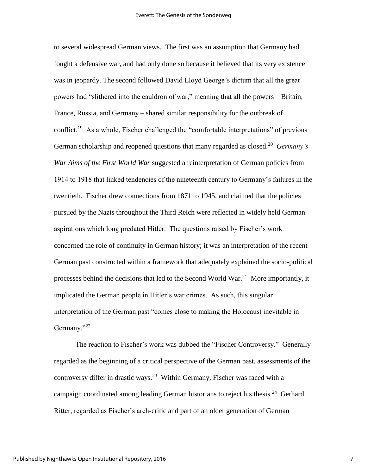to several widespread German views. The first was an assumption that Germany had fought a defensive war, and had only done so because it believed that its very existence was in jeopardy. The second followed David Lloyd George's dictum that all the great powers had "slithered into the cauldron of war," meaning that all the powers – Britain, France, Russia, and Germany – shared similar responsibility for the outbreak of conflict.<sup>19</sup> As a whole, Fischer challenged the "comfortable interpretations" of previous German scholarship and reopened questions that many regarded as closed.<sup>20</sup> Germany's *War Aims of the First World War* suggested a reinterpretation of German policies from 1914 to 1918 that linked tendencies of the nineteenth century to Germany's failures in the twentieth. Fischer drew connections from 1871 to 1945, and claimed that the policies pursued by the Nazis throughout the Third Reich were reflected in widely held German aspirations which long predated Hitler. The questions raised by Fischer's work concerned the role of continuity in German history; it was an interpretation of the recent German past constructed within a framework that adequately explained the socio-political processes behind the decisions that led to the Second World War.<sup>21</sup> More importantly, it implicated the German people in Hitler's war crimes. As such, this singular interpretation of the German past "comes close to making the Holocaust inevitable in Germany."<sup>22</sup>

The reaction to Fischer's work was dubbed the "Fischer Controversy." Generally regarded as the beginning of a critical perspective of the German past, assessments of the controversy differ in drastic ways.<sup>23</sup> Within Germany, Fischer was faced with a campaign coordinated among leading German historians to reject his thesis.<sup>24</sup> Gerhard Ritter, regarded as Fischer's arch-critic and part of an older generation of German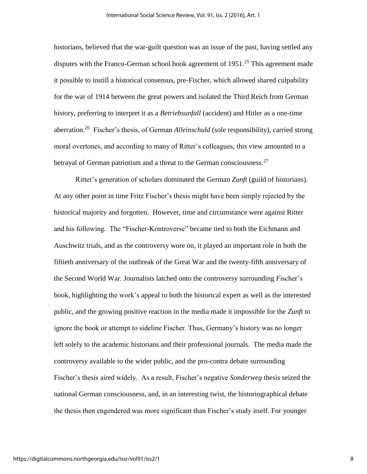historians, believed that the war-guilt question was an issue of the past, having settled any disputes with the Franco-German school book agreement of  $1951<sup>25</sup>$  This agreement made it possible to instill a historical consensus, pre-Fischer, which allowed shared culpability for the war of 1914 between the great powers and isolated the Third Reich from German history, preferring to interpret it as a *Betriebsunfall* (accident) and Hitler as a one-time aberration.<sup>26</sup> Fischer's thesis, of German *Alleinschuld* (sole responsibility), carried strong moral overtones, and according to many of Ritter's colleagues, this view amounted to a betrayal of German patriotism and a threat to the German consciousness.<sup>27</sup>

Ritter's generation of scholars dominated the German *Zunft* (guild of historians). At any other point in time Fritz Fischer's thesis might have been simply rejected by the historical majority and forgotten. However, time and circumstance were against Ritter and his following. The "Fischer-Kontroverse" became tied to both the Eichmann and Auschwitz trials, and as the controversy wore on, it played an important role in both the fiftieth anniversary of the outbreak of the Great War and the twenty-fifth anniversary of the Second World War. Journalists latched onto the controversy surrounding Fischer's book, highlighting the work's appeal to both the historical expert as well as the interested public, and the growing positive reaction in the media made it impossible for the *Zunft* to ignore the book or attempt to sideline Fischer. Thus, Germany's history was no longer left solely to the academic historians and their professional journals. The media made the controversy available to the wider public, and the pro-contra debate surrounding Fischer's thesis aired widely. As a result, Fischer's negative *Sonderweg* thesis seized the national German consciousness, and, in an interesting twist, the historiographical debate the thesis then engendered was more significant than Fischer's study itself. For younger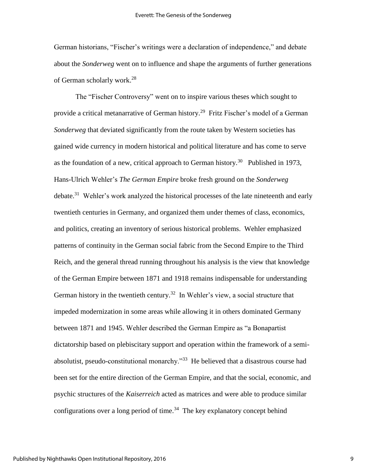German historians, "Fischer's writings were a declaration of independence," and debate about the *Sonderweg* went on to influence and shape the arguments of further generations of German scholarly work. 28

The "Fischer Controversy" went on to inspire various theses which sought to provide a critical metanarrative of German history.<sup>29</sup> Fritz Fischer's model of a German *Sonderweg* that deviated significantly from the route taken by Western societies has gained wide currency in modern historical and political literature and has come to serve as the foundation of a new, critical approach to German history.<sup>30</sup> Published in 1973, Hans-Ulrich Wehler's *The German Empire* broke fresh ground on the *Sonderweg*  debate.<sup>31</sup> Wehler's work analyzed the historical processes of the late nineteenth and early twentieth centuries in Germany, and organized them under themes of class, economics, and politics, creating an inventory of serious historical problems. Wehler emphasized patterns of continuity in the German social fabric from the Second Empire to the Third Reich, and the general thread running throughout his analysis is the view that knowledge of the German Empire between 1871 and 1918 remains indispensable for understanding German history in the twentieth century.<sup>32</sup> In Wehler's view, a social structure that impeded modernization in some areas while allowing it in others dominated Germany between 1871 and 1945. Wehler described the German Empire as "a Bonapartist dictatorship based on plebiscitary support and operation within the framework of a semiabsolutist, pseudo-constitutional monarchy.<sup>33</sup> He believed that a disastrous course had been set for the entire direction of the German Empire, and that the social, economic, and psychic structures of the *Kaiserreich* acted as matrices and were able to produce similar configurations over a long period of time.<sup>34</sup> The key explanatory concept behind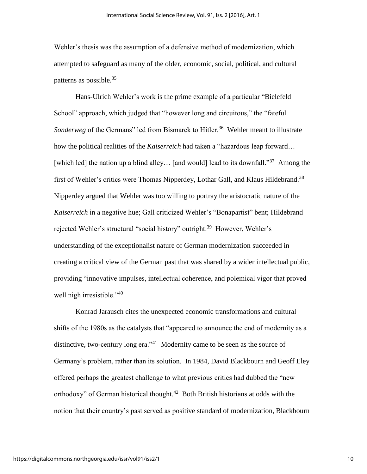Wehler's thesis was the assumption of a defensive method of modernization, which attempted to safeguard as many of the older, economic, social, political, and cultural patterns as possible.<sup>35</sup>

Hans-Ulrich Wehler's work is the prime example of a particular "Bielefeld School" approach, which judged that "however long and circuitous," the "fateful Sonderweg of the Germans" led from Bismarck to Hitler.<sup>36</sup> Wehler meant to illustrate how the political realities of the *Kaiserreich* had taken a "hazardous leap forward… [which led] the nation up a blind alley... [and would] lead to its downfall."<sup>37</sup> Among the first of Wehler's critics were Thomas Nipperdey, Lothar Gall, and Klaus Hildebrand.<sup>38</sup> Nipperdey argued that Wehler was too willing to portray the aristocratic nature of the *Kaiserreich* in a negative hue; Gall criticized Wehler's "Bonapartist" bent; Hildebrand rejected Wehler's structural "social history" outright.<sup>39</sup> However, Wehler's understanding of the exceptionalist nature of German modernization succeeded in creating a critical view of the German past that was shared by a wider intellectual public, providing "innovative impulses, intellectual coherence, and polemical vigor that proved well nigh irresistible."<sup>40</sup>

Konrad Jarausch cites the unexpected economic transformations and cultural shifts of the 1980s as the catalysts that "appeared to announce the end of modernity as a distinctive, two-century long era."<sup>41</sup> Modernity came to be seen as the source of Germany's problem, rather than its solution. In 1984, David Blackbourn and Geoff Eley offered perhaps the greatest challenge to what previous critics had dubbed the "new orthodoxy" of German historical thought.<sup>42</sup> Both British historians at odds with the notion that their country's past served as positive standard of modernization, Blackbourn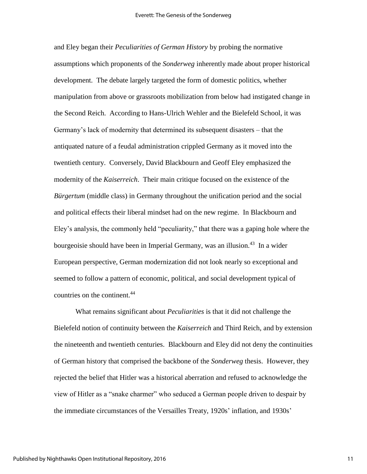and Eley began their *Peculiarities of German History* by probing the normative assumptions which proponents of the *Sonderweg* inherently made about proper historical development. The debate largely targeted the form of domestic politics, whether manipulation from above or grassroots mobilization from below had instigated change in the Second Reich. According to Hans-Ulrich Wehler and the Bielefeld School, it was Germany's lack of modernity that determined its subsequent disasters – that the antiquated nature of a feudal administration crippled Germany as it moved into the twentieth century. Conversely, David Blackbourn and Geoff Eley emphasized the modernity of the *Kaiserreich*. Their main critique focused on the existence of the *Bürgertum* (middle class) in Germany throughout the unification period and the social and political effects their liberal mindset had on the new regime. In Blackbourn and Eley's analysis, the commonly held "peculiarity," that there was a gaping hole where the bourgeoisie should have been in Imperial Germany, was an illusion.<sup>43</sup> In a wider European perspective, German modernization did not look nearly so exceptional and seemed to follow a pattern of economic, political, and social development typical of countries on the continent.<sup>44</sup>

What remains significant about *Peculiarities* is that it did not challenge the Bielefeld notion of continuity between the *Kaiserreich* and Third Reich, and by extension the nineteenth and twentieth centuries. Blackbourn and Eley did not deny the continuities of German history that comprised the backbone of the *Sonderweg* thesis. However, they rejected the belief that Hitler was a historical aberration and refused to acknowledge the view of Hitler as a "snake charmer" who seduced a German people driven to despair by the immediate circumstances of the Versailles Treaty, 1920s' inflation, and 1930s'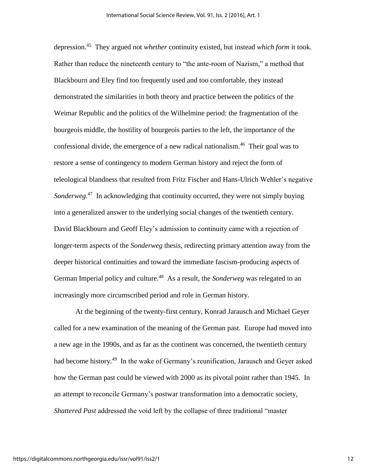depression.<sup>45</sup> They argued not *whether* continuity existed, but instead *which form* it took. Rather than reduce the nineteenth century to "the ante-room of Nazism," a method that Blackbourn and Eley find too frequently used and too comfortable, they instead demonstrated the similarities in both theory and practice between the politics of the Weimar Republic and the politics of the Wilhelmine period: the fragmentation of the bourgeois middle, the hostility of bourgeois parties to the left, the importance of the confessional divide, the emergence of a new radical nationalism.<sup>46</sup> Their goal was to restore a sense of contingency to modern German history and reject the form of teleological blandness that resulted from Fritz Fischer and Hans-Ulrich Wehler's negative Sonderweg.<sup>47</sup> In acknowledging that continuity occurred, they were not simply buying into a generalized answer to the underlying social changes of the twentieth century. David Blackbourn and Geoff Eley's admission to continuity came with a rejection of longer-term aspects of the *Sonderweg* thesis, redirecting primary attention away from the deeper historical continuities and toward the immediate fascism-producing aspects of German Imperial policy and culture. 48 As a result, the *Sonderweg* was relegated to an increasingly more circumscribed period and role in German history.

At the beginning of the twenty-first century, Konrad Jarausch and Michael Geyer called for a new examination of the meaning of the German past. Europe had moved into a new age in the 1990s, and as far as the continent was concerned, the twentieth century had become history.<sup>49</sup> In the wake of Germany's reunification, Jarausch and Geyer asked how the German past could be viewed with 2000 as its pivotal point rather than 1945. In an attempt to reconcile Germany's postwar transformation into a democratic society, *Shattered Past* addressed the void left by the collapse of three traditional "master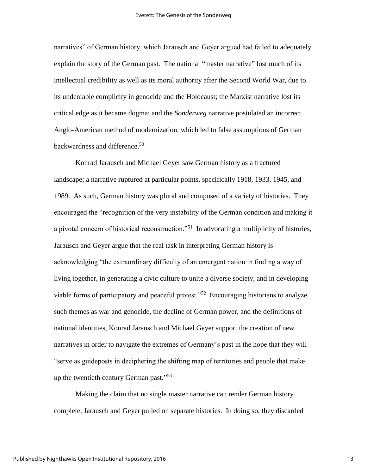narratives" of German history, which Jarausch and Geyer argued had failed to adequately explain the story of the German past. The national "master narrative" lost much of its intellectual credibility as well as its moral authority after the Second World War, due to its undeniable complicity in genocide and the Holocaust; the Marxist narrative lost its critical edge as it became dogma; and the *Sonderweg* narrative postulated an incorrect Anglo-American method of modernization, which led to false assumptions of German backwardness and difference.<sup>50</sup>

Konrad Jarausch and Michael Geyer saw German history as a fractured landscape; a narrative ruptured at particular points, specifically 1918, 1933, 1945, and 1989. As such, German history was plural and composed of a variety of histories. They encouraged the "recognition of the very instability of the German condition and making it a pivotal concern of historical reconstruction."<sup>51</sup> In advocating a multiplicity of histories, Jarausch and Geyer argue that the real task in interpreting German history is acknowledging "the extraordinary difficulty of an emergent nation in finding a way of living together, in generating a civic culture to unite a diverse society, and in developing viable forms of participatory and peaceful protest."<sup>52</sup> Encouraging historians to analyze such themes as war and genocide, the decline of German power, and the definitions of national identities, Konrad Jarausch and Michael Geyer support the creation of new narratives in order to navigate the extremes of Germany's past in the hope that they will "serve as guideposts in deciphering the shifting map of territories and people that make up the twentieth century German past."<sup>53</sup>

Making the claim that no single master narrative can render German history complete, Jarausch and Geyer pulled on separate histories. In doing so, they discarded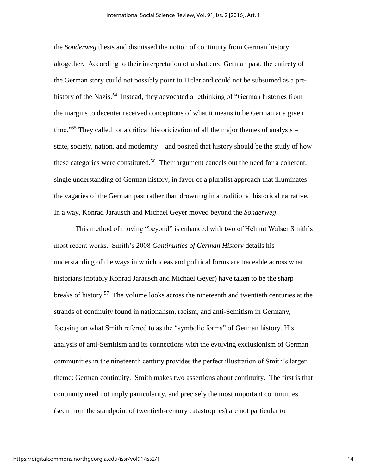the *Sonderweg* thesis and dismissed the notion of continuity from German history altogether. According to their interpretation of a shattered German past, the entirety of the German story could not possibly point to Hitler and could not be subsumed as a prehistory of the Nazis.<sup>54</sup> Instead, they advocated a rethinking of "German histories from the margins to decenter received conceptions of what it means to be German at a given time."<sup>55</sup> They called for a critical historicization of all the major themes of analysis – state, society, nation, and modernity – and posited that history should be the study of how these categories were constituted.<sup>56</sup> Their argument cancels out the need for a coherent, single understanding of German history, in favor of a pluralist approach that illuminates the vagaries of the German past rather than drowning in a traditional historical narrative. In a way, Konrad Jarausch and Michael Geyer moved beyond the *Sonderweg*.

This method of moving "beyond" is enhanced with two of Helmut Walser Smith's most recent works. Smith's 2008 *Continuities of German History* details his understanding of the ways in which ideas and political forms are traceable across what historians (notably Konrad Jarausch and Michael Geyer) have taken to be the sharp breaks of history.<sup>57</sup> The volume looks across the nineteenth and twentieth centuries at the strands of continuity found in nationalism, racism, and anti-Semitism in Germany, focusing on what Smith referred to as the "symbolic forms" of German history. His analysis of anti-Semitism and its connections with the evolving exclusionism of German communities in the nineteenth century provides the perfect illustration of Smith's larger theme: German continuity. Smith makes two assertions about continuity. The first is that continuity need not imply particularity, and precisely the most important continuities (seen from the standpoint of twentieth-century catastrophes) are not particular to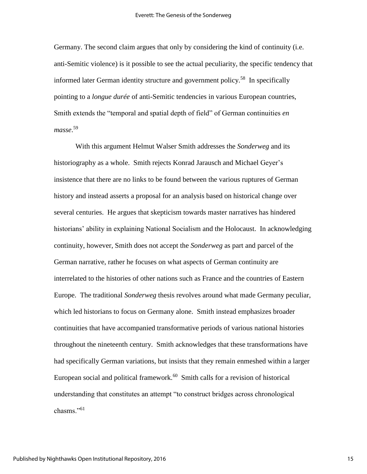Germany. The second claim argues that only by considering the kind of continuity (i.e. anti-Semitic violence) is it possible to see the actual peculiarity, the specific tendency that informed later German identity structure and government policy.<sup>58</sup> In specifically pointing to a *longue durée* of anti-Semitic tendencies in various European countries, Smith extends the "temporal and spatial depth of field" of German continuities *en masse*. 59

With this argument Helmut Walser Smith addresses the *Sonderweg* and its historiography as a whole. Smith rejects Konrad Jarausch and Michael Geyer's insistence that there are no links to be found between the various ruptures of German history and instead asserts a proposal for an analysis based on historical change over several centuries. He argues that skepticism towards master narratives has hindered historians' ability in explaining National Socialism and the Holocaust. In acknowledging continuity, however, Smith does not accept the *Sonderweg* as part and parcel of the German narrative, rather he focuses on what aspects of German continuity are interrelated to the histories of other nations such as France and the countries of Eastern Europe. The traditional *Sonderweg* thesis revolves around what made Germany peculiar, which led historians to focus on Germany alone. Smith instead emphasizes broader continuities that have accompanied transformative periods of various national histories throughout the nineteenth century. Smith acknowledges that these transformations have had specifically German variations, but insists that they remain enmeshed within a larger European social and political framework.<sup>60</sup> Smith calls for a revision of historical understanding that constitutes an attempt "to construct bridges across chronological chasms<sup>"61</sup>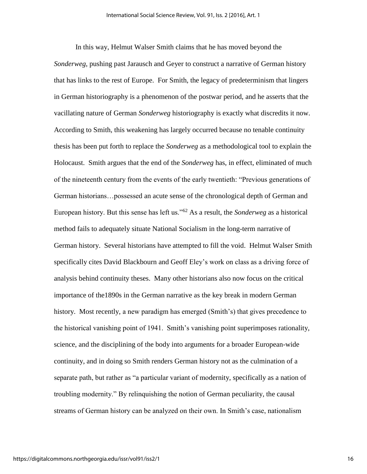In this way, Helmut Walser Smith claims that he has moved beyond the *Sonderweg*, pushing past Jarausch and Geyer to construct a narrative of German history that has links to the rest of Europe. For Smith, the legacy of predeterminism that lingers in German historiography is a phenomenon of the postwar period, and he asserts that the vacillating nature of German *Sonderweg* historiography is exactly what discredits it now. According to Smith, this weakening has largely occurred because no tenable continuity thesis has been put forth to replace the *Sonderweg* as a methodological tool to explain the Holocaust. Smith argues that the end of the *Sonderweg* has, in effect, eliminated of much of the nineteenth century from the events of the early twentieth: "Previous generations of German historians…possessed an acute sense of the chronological depth of German and European history. But this sense has left us."<sup>62</sup> As a result, the *Sonderweg* as a historical method fails to adequately situate National Socialism in the long-term narrative of German history. Several historians have attempted to fill the void. Helmut Walser Smith specifically cites David Blackbourn and Geoff Eley's work on class as a driving force of analysis behind continuity theses. Many other historians also now focus on the critical importance of the1890s in the German narrative as the key break in modern German history. Most recently, a new paradigm has emerged (Smith's) that gives precedence to the historical vanishing point of 1941. Smith's vanishing point superimposes rationality, science, and the disciplining of the body into arguments for a broader European-wide continuity, and in doing so Smith renders German history not as the culmination of a separate path, but rather as "a particular variant of modernity, specifically as a nation of troubling modernity." By relinquishing the notion of German peculiarity, the causal streams of German history can be analyzed on their own. In Smith's case, nationalism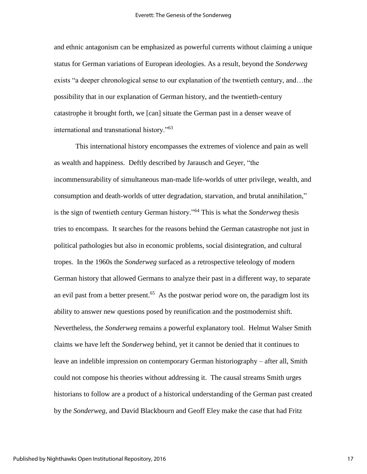and ethnic antagonism can be emphasized as powerful currents without claiming a unique status for German variations of European ideologies. As a result, beyond the *Sonderweg*  exists "a deeper chronological sense to our explanation of the twentieth century, and…the possibility that in our explanation of German history, and the twentieth-century catastrophe it brought forth, we [can] situate the German past in a denser weave of international and transnational history."<sup>63</sup>

This international history encompasses the extremes of violence and pain as well as wealth and happiness. Deftly described by Jarausch and Geyer, "the incommensurability of simultaneous man-made life-worlds of utter privilege, wealth, and consumption and death-worlds of utter degradation, starvation, and brutal annihilation," is the sign of twentieth century German history."<sup>64</sup> This is what the *Sonderweg* thesis tries to encompass. It searches for the reasons behind the German catastrophe not just in political pathologies but also in economic problems, social disintegration, and cultural tropes. In the 1960s the *Sonderweg* surfaced as a retrospective teleology of modern German history that allowed Germans to analyze their past in a different way, to separate an evil past from a better present.<sup>65</sup> As the postwar period wore on, the paradigm lost its ability to answer new questions posed by reunification and the postmodernist shift. Nevertheless, the *Sonderweg* remains a powerful explanatory tool. Helmut Walser Smith claims we have left the *Sonderweg* behind, yet it cannot be denied that it continues to leave an indelible impression on contemporary German historiography – after all, Smith could not compose his theories without addressing it. The causal streams Smith urges historians to follow are a product of a historical understanding of the German past created by the *Sonderweg*, and David Blackbourn and Geoff Eley make the case that had Fritz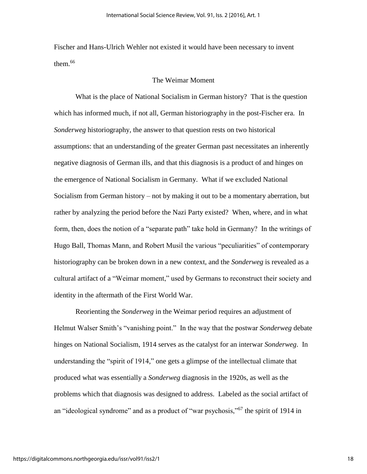Fischer and Hans-Ulrich Wehler not existed it would have been necessary to invent them. $66$ 

#### The Weimar Moment

What is the place of National Socialism in German history? That is the question which has informed much, if not all, German historiography in the post-Fischer era. In *Sonderweg* historiography, the answer to that question rests on two historical assumptions: that an understanding of the greater German past necessitates an inherently negative diagnosis of German ills, and that this diagnosis is a product of and hinges on the emergence of National Socialism in Germany. What if we excluded National Socialism from German history – not by making it out to be a momentary aberration, but rather by analyzing the period before the Nazi Party existed? When, where, and in what form, then, does the notion of a "separate path" take hold in Germany? In the writings of Hugo Ball, Thomas Mann, and Robert Musil the various "peculiarities" of contemporary historiography can be broken down in a new context, and the *Sonderweg* is revealed as a cultural artifact of a "Weimar moment," used by Germans to reconstruct their society and identity in the aftermath of the First World War.

Reorienting the *Sonderweg* in the Weimar period requires an adjustment of Helmut Walser Smith's "vanishing point." In the way that the postwar *Sonderweg* debate hinges on National Socialism, 1914 serves as the catalyst for an interwar *Sonderweg*. In understanding the "spirit of 1914," one gets a glimpse of the intellectual climate that produced what was essentially a *Sonderweg* diagnosis in the 1920s, as well as the problems which that diagnosis was designed to address. Labeled as the social artifact of an "ideological syndrome" and as a product of "war psychosis,"<sup>67</sup> the spirit of 1914 in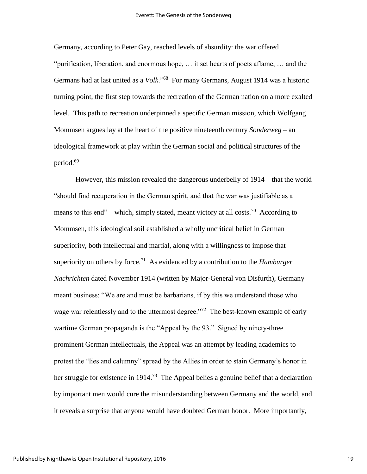Germany, according to Peter Gay, reached levels of absurdity: the war offered "purification, liberation, and enormous hope, … it set hearts of poets aflame, … and the Germans had at last united as a *Volk*."<sup>68</sup> For many Germans, August 1914 was a historic turning point, the first step towards the recreation of the German nation on a more exalted level. This path to recreation underpinned a specific German mission, which Wolfgang Mommsen argues lay at the heart of the positive nineteenth century *Sonderweg* – an ideological framework at play within the German social and political structures of the period.<sup>69</sup>

However, this mission revealed the dangerous underbelly of 1914 – that the world "should find recuperation in the German spirit, and that the war was justifiable as a means to this end" – which, simply stated, meant victory at all costs.<sup>70</sup> According to Mommsen, this ideological soil established a wholly uncritical belief in German superiority, both intellectual and martial, along with a willingness to impose that superiority on others by force.<sup>71</sup> As evidenced by a contribution to the *Hamburger Nachrichten* dated November 1914 (written by Major-General von Disfurth), Germany meant business: "We are and must be barbarians, if by this we understand those who wage war relentlessly and to the uttermost degree."<sup>72</sup> The best-known example of early wartime German propaganda is the "Appeal by the 93." Signed by ninety-three prominent German intellectuals, the Appeal was an attempt by leading academics to protest the "lies and calumny" spread by the Allies in order to stain Germany's honor in her struggle for existence in 1914.<sup>73</sup> The Appeal belies a genuine belief that a declaration by important men would cure the misunderstanding between Germany and the world, and it reveals a surprise that anyone would have doubted German honor. More importantly,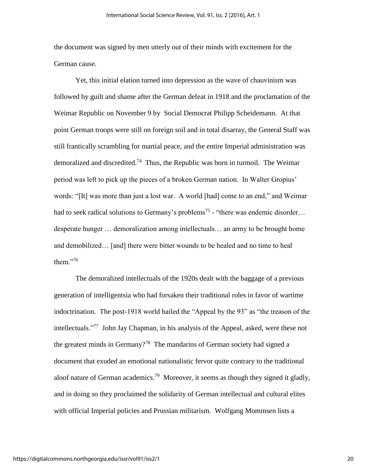the document was signed by men utterly out of their minds with excitement for the German cause.

Yet, this initial elation turned into depression as the wave of chauvinism was followed by guilt and shame after the German defeat in 1918 and the proclamation of the Weimar Republic on November 9 by Social Democrat Philipp Scheidemann. At that point German troops were still on foreign soil and in total disarray, the General Staff was still frantically scrambling for martial peace, and the entire Imperial administration was demoralized and discredited.<sup>74</sup> Thus, the Republic was born in turmoil. The Weimar period was left to pick up the pieces of a broken German nation. In Walter Gropius' words: "[It] was more than just a lost war. A world [had] come to an end," and Weimar had to seek radical solutions to Germany's problems<sup>75</sup> - "there was endemic disorder... desperate hunger … demoralization among intellectuals… an army to be brought home and demobilized… [and] there were bitter wounds to be healed and no time to heal them $^{276}$ 

The demoralized intellectuals of the 1920s dealt with the baggage of a previous generation of intelligentsia who had forsaken their traditional roles in favor of wartime indoctrination. The post-1918 world hailed the "Appeal by the 93" as "the treason of the intellectuals." 77 John Jay Chapman, in his analysis of the Appeal, asked, were these not the greatest minds in Germany?<sup>78</sup> The mandarins of German society had signed a document that exuded an emotional nationalistic fervor quite contrary to the traditional aloof nature of German academics.<sup>79</sup> Moreover, it seems as though they signed it gladly, and in doing so they proclaimed the solidarity of German intellectual and cultural elites with official Imperial policies and Prussian militarism. Wolfgang Mommsen lists a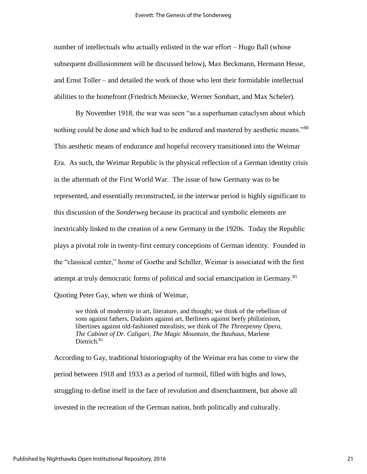number of intellectuals who actually enlisted in the war effort – Hugo Ball (whose subsequent disillusionment will be discussed below), Max Beckmann, Hermann Hesse, and Ernst Toller – and detailed the work of those who lent their formidable intellectual abilities to the homefront (Friedrich Meinecke, Werner Sombart, and Max Scheler).

By November 1918, the war was seen "as a superhuman cataclysm about which nothing could be done and which had to be endured and mastered by aesthetic means."80 This aesthetic means of endurance and hopeful recovery transitioned into the Weimar Era. As such, the Weimar Republic is the physical reflection of a German identity crisis in the aftermath of the First World War. The issue of how Germany was to be represented, and essentially reconstructed, in the interwar period is highly significant to this discussion of the *Sonderweg* because its practical and symbolic elements are inextricably linked to the creation of a new Germany in the 1920s. Today the Republic plays a pivotal role in twenty-first century conceptions of German identity. Founded in the "classical center," home of Goethe and Schiller, Weimar is associated with the first attempt at truly democratic forms of political and social emancipation in Germany.<sup>81</sup> Quoting Peter Gay, when we think of Weimar,

we think of modernity in art, literature, and thought; we think of the rebellion of sons against fathers, Dadaists against art, Berliners against beefy philistinism, libertines against old-fashioned moralists; we think of *The Threepenny Opera*, *The Cabinet of Dr. Caligari*, *The Magic Mountain*, the *Bauhaus*, Marlene Dietrich.<sup>82</sup>

According to Gay, traditional historiography of the Weimar era has come to view the period between 1918 and 1933 as a period of turmoil, filled with highs and lows, struggling to define itself in the face of revolution and disenchantment, but above all invested in the recreation of the German nation, both politically and culturally.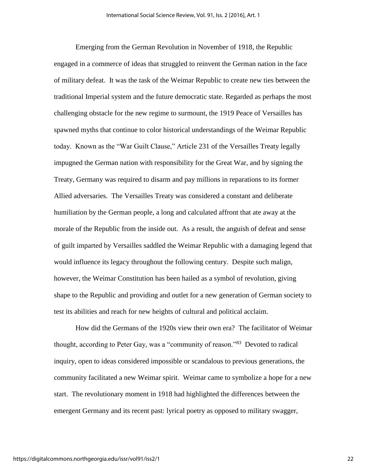Emerging from the German Revolution in November of 1918, the Republic engaged in a commerce of ideas that struggled to reinvent the German nation in the face of military defeat. It was the task of the Weimar Republic to create new ties between the traditional Imperial system and the future democratic state. Regarded as perhaps the most challenging obstacle for the new regime to surmount, the 1919 Peace of Versailles has spawned myths that continue to color historical understandings of the Weimar Republic today. Known as the "War Guilt Clause," Article 231 of the Versailles Treaty legally impugned the German nation with responsibility for the Great War, and by signing the Treaty, Germany was required to disarm and pay millions in reparations to its former Allied adversaries. The Versailles Treaty was considered a constant and deliberate humiliation by the German people, a long and calculated affront that ate away at the morale of the Republic from the inside out. As a result, the anguish of defeat and sense of guilt imparted by Versailles saddled the Weimar Republic with a damaging legend that would influence its legacy throughout the following century. Despite such malign, however, the Weimar Constitution has been hailed as a symbol of revolution, giving shape to the Republic and providing and outlet for a new generation of German society to test its abilities and reach for new heights of cultural and political acclaim.

How did the Germans of the 1920s view their own era? The facilitator of Weimar thought, according to Peter Gay, was a "community of reason."<sup>83</sup> Devoted to radical inquiry, open to ideas considered impossible or scandalous to previous generations, the community facilitated a new Weimar spirit. Weimar came to symbolize a hope for a new start. The revolutionary moment in 1918 had highlighted the differences between the emergent Germany and its recent past: lyrical poetry as opposed to military swagger,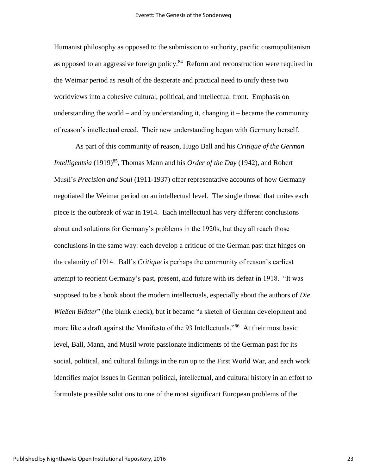Humanist philosophy as opposed to the submission to authority, pacific cosmopolitanism as opposed to an aggressive foreign policy.<sup>84</sup> Reform and reconstruction were required in the Weimar period as result of the desperate and practical need to unify these two worldviews into a cohesive cultural, political, and intellectual front. Emphasis on understanding the world – and by understanding it, changing  $it$  – became the community of reason's intellectual creed. Their new understanding began with Germany herself.

As part of this community of reason, Hugo Ball and his *Critique of the German Intelligentsia* (1919)<sup>85</sup>, Thomas Mann and his *Order of the Day* (1942), and Robert Musil's *Precision and Soul* (1911-1937) offer representative accounts of how Germany negotiated the Weimar period on an intellectual level. The single thread that unites each piece is the outbreak of war in 1914. Each intellectual has very different conclusions about and solutions for Germany's problems in the 1920s, but they all reach those conclusions in the same way: each develop a critique of the German past that hinges on the calamity of 1914. Ball's *Critique* is perhaps the community of reason's earliest attempt to reorient Germany's past, present, and future with its defeat in 1918. "It was supposed to be a book about the modern intellectuals, especially about the authors of *Die Wießen Blätter*" (the blank check), but it became "a sketch of German development and more like a draft against the Manifesto of the 93 Intellectuals."<sup>86</sup> At their most basic level, Ball, Mann, and Musil wrote passionate indictments of the German past for its social, political, and cultural failings in the run up to the First World War, and each work identifies major issues in German political, intellectual, and cultural history in an effort to formulate possible solutions to one of the most significant European problems of the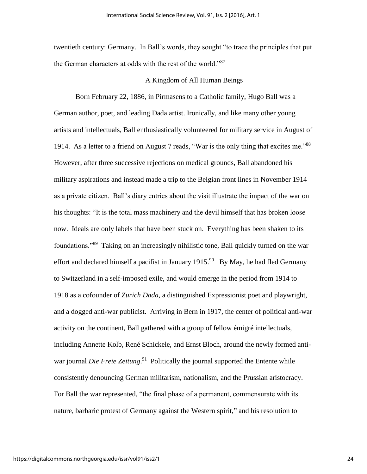twentieth century: Germany. In Ball's words, they sought "to trace the principles that put the German characters at odds with the rest of the world."<sup>87</sup>

#### A Kingdom of All Human Beings

Born February 22, 1886, in Pirmasens to a Catholic family, Hugo Ball was a German author, poet, and leading Dada artist. Ironically, and like many other young artists and intellectuals, Ball enthusiastically volunteered for military service in August of 1914. As a letter to a friend on August 7 reads, "War is the only thing that excites me."<sup>88</sup> However, after three successive rejections on medical grounds, Ball abandoned his military aspirations and instead made a trip to the Belgian front lines in November 1914 as a private citizen. Ball's diary entries about the visit illustrate the impact of the war on his thoughts: "It is the total mass machinery and the devil himself that has broken loose now. Ideals are only labels that have been stuck on. Everything has been shaken to its foundations."<sup>89</sup> Taking on an increasingly nihilistic tone, Ball quickly turned on the war effort and declared himself a pacifist in January  $1915$ .<sup>90</sup> By May, he had fled Germany to Switzerland in a self-imposed exile, and would emerge in the period from 1914 to 1918 as a cofounder of *Zurich Dada*, a distinguished Expressionist poet and playwright, and a dogged anti-war publicist. Arriving in Bern in 1917, the center of political anti-war activity on the continent, Ball gathered with a group of fellow émigré intellectuals, including Annette Kolb, René Schickele, and Ernst Bloch, around the newly formed antiwar journal *Die Freie Zeitung*.<sup>91</sup> Politically the journal supported the Entente while consistently denouncing German militarism, nationalism, and the Prussian aristocracy. For Ball the war represented, "the final phase of a permanent, commensurate with its nature, barbaric protest of Germany against the Western spirit," and his resolution to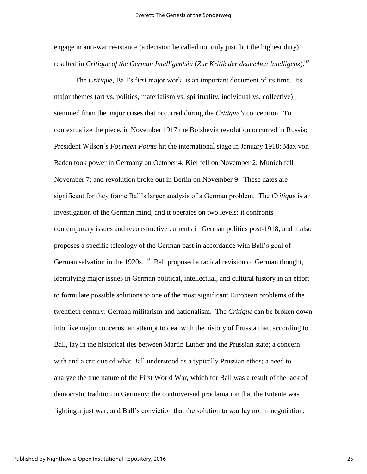engage in anti-war resistance (a decision he called not only just, but the highest duty) resulted in *Critique of the German Intelligentsia* (*Zur Kritik der deutschen Intelligenz*). 92

The *Critique*, Ball's first major work, is an important document of its time. Its major themes (art vs. politics, materialism vs. spirituality, individual vs. collective) stemmed from the major crises that occurred during the *Critique's* conception. To contextualize the piece, in November 1917 the Bolshevik revolution occurred in Russia; President Wilson's *Fourteen Points* hit the international stage in January 1918; Max von Baden took power in Germany on October 4; Kiel fell on November 2; Munich fell November 7; and revolution broke out in Berlin on November 9. These dates are significant for they frame Ball's larger analysis of a German problem. The *Critique* is an investigation of the German mind, and it operates on two levels: it confronts contemporary issues and reconstructive currents in German politics post-1918, and it also proposes a specific teleology of the German past in accordance with Ball's goal of German salvation in the 1920s. <sup>93</sup> Ball proposed a radical revision of German thought, identifying major issues in German political, intellectual, and cultural history in an effort to formulate possible solutions to one of the most significant European problems of the twentieth century: German militarism and nationalism. The *Critique* can be broken down into five major concerns: an attempt to deal with the history of Prussia that, according to Ball, lay in the historical ties between Martin Luther and the Prussian state; a concern with and a critique of what Ball understood as a typically Prussian ethos; a need to analyze the true nature of the First World War, which for Ball was a result of the lack of democratic tradition in Germany; the controversial proclamation that the Entente was fighting a just war; and Ball's conviction that the solution to war lay not in negotiation,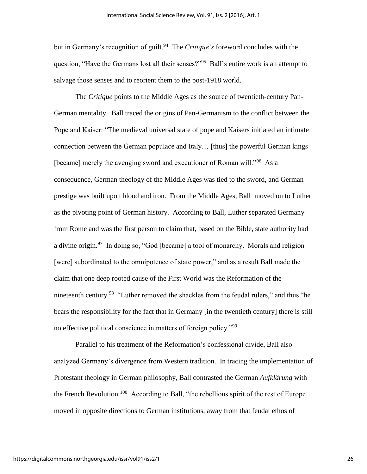but in Germany's recognition of guilt.<sup>94</sup> The *Critique's* foreword concludes with the question, "Have the Germans lost all their senses?"<sup>95</sup> Ball's entire work is an attempt to salvage those senses and to reorient them to the post-1918 world.

The *Critique* points to the Middle Ages as the source of twentieth-century Pan-German mentality. Ball traced the origins of Pan-Germanism to the conflict between the Pope and Kaiser: "The medieval universal state of pope and Kaisers initiated an intimate connection between the German populace and Italy… [thus] the powerful German kings [became] merely the avenging sword and executioner of Roman will."<sup>96</sup> As a consequence, German theology of the Middle Ages was tied to the sword, and German prestige was built upon blood and iron. From the Middle Ages, Ball moved on to Luther as the pivoting point of German history. According to Ball, Luther separated Germany from Rome and was the first person to claim that, based on the Bible, state authority had a divine origin.<sup>97</sup> In doing so, "God [became] a tool of monarchy. Morals and religion [were] subordinated to the omnipotence of state power," and as a result Ball made the claim that one deep rooted cause of the First World was the Reformation of the nineteenth century.<sup>98</sup> "Luther removed the shackles from the feudal rulers," and thus "he bears the responsibility for the fact that in Germany [in the twentieth century] there is still no effective political conscience in matters of foreign policy."<sup>99</sup>

Parallel to his treatment of the Reformation's confessional divide, Ball also analyzed Germany's divergence from Western tradition. In tracing the implementation of Protestant theology in German philosophy, Ball contrasted the German *Aufklärung* with the French Revolution.<sup>100</sup> According to Ball, "the rebellious spirit of the rest of Europe moved in opposite directions to German institutions, away from that feudal ethos of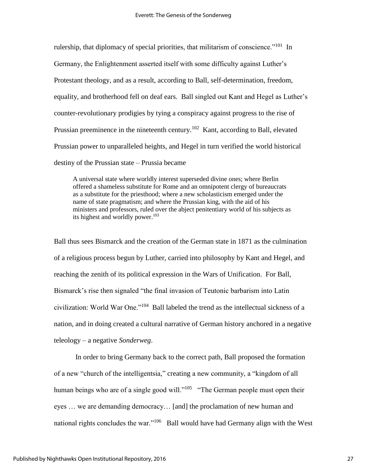rulership, that diplomacy of special priorities, that militarism of conscience."<sup>101</sup> In Germany, the Enlightenment asserted itself with some difficulty against Luther's Protestant theology, and as a result, according to Ball, self-determination, freedom, equality, and brotherhood fell on deaf ears. Ball singled out Kant and Hegel as Luther's counter-revolutionary prodigies by tying a conspiracy against progress to the rise of Prussian preeminence in the nineteenth century.<sup>102</sup> Kant, according to Ball, elevated Prussian power to unparalleled heights, and Hegel in turn verified the world historical destiny of the Prussian state – Prussia became

A universal state where worldly interest superseded divine ones; where Berlin offered a shameless substitute for Rome and an omnipotent clergy of bureaucrats as a substitute for the priesthood; where a new scholasticism emerged under the name of state pragmatism; and where the Prussian king, with the aid of his ministers and professors, ruled over the abject penitentiary world of his subjects as its highest and worldly power.<sup>103</sup>

Ball thus sees Bismarck and the creation of the German state in 1871 as the culmination of a religious process begun by Luther, carried into philosophy by Kant and Hegel, and reaching the zenith of its political expression in the Wars of Unification. For Ball, Bismarck's rise then signaled "the final invasion of Teutonic barbarism into Latin civilization: World War One."<sup>104</sup> Ball labeled the trend as the intellectual sickness of a nation, and in doing created a cultural narrative of German history anchored in a negative teleology – a negative *Sonderweg*.

In order to bring Germany back to the correct path, Ball proposed the formation of a new "church of the intelligentsia," creating a new community, a "kingdom of all human beings who are of a single good will."<sup>105</sup> "The German people must open their eyes … we are demanding democracy… [and] the proclamation of new human and national rights concludes the war."<sup>106</sup> Ball would have had Germany align with the West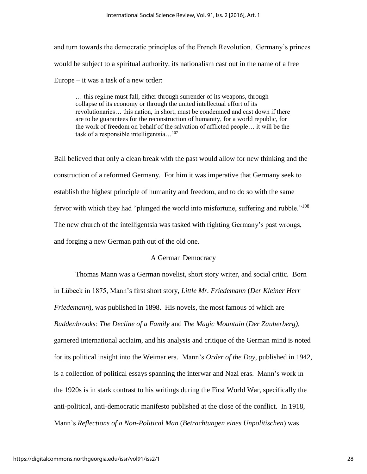and turn towards the democratic principles of the French Revolution. Germany's princes would be subject to a spiritual authority, its nationalism cast out in the name of a free Europe – it was a task of a new order:

… this regime must fall, either through surrender of its weapons, through collapse of its economy or through the united intellectual effort of its revolutionaries… this nation, in short, must be condemned and cast down if there are to be guarantees for the reconstruction of humanity, for a world republic, for the work of freedom on behalf of the salvation of afflicted people… it will be the task of a responsible intelligentsia…<sup>107</sup>

Ball believed that only a clean break with the past would allow for new thinking and the construction of a reformed Germany. For him it was imperative that Germany seek to establish the highest principle of humanity and freedom, and to do so with the same fervor with which they had "plunged the world into misfortune, suffering and rubble."<sup>108</sup> The new church of the intelligentsia was tasked with righting Germany's past wrongs, and forging a new German path out of the old one.

### A German Democracy

Thomas Mann was a German novelist, short story writer, and social critic. Born in Lübeck in 1875, Mann's first short story, *Little Mr. Friedemann* (*Der Kleiner Herr Friedemann*), was published in 1898. His novels, the most famous of which are *Buddenbrooks: The Decline of a Family* and *The Magic Mountain* (*Der Zauberberg)*, garnered international acclaim, and his analysis and critique of the German mind is noted for its political insight into the Weimar era. Mann's *Order of the Day*, published in 1942, is a collection of political essays spanning the interwar and Nazi eras. Mann's work in the 1920s is in stark contrast to his writings during the First World War, specifically the anti-political, anti-democratic manifesto published at the close of the conflict. In 1918, Mann's *Reflections of a Non-Political Man* (*Betrachtungen eines Unpolitischen*) was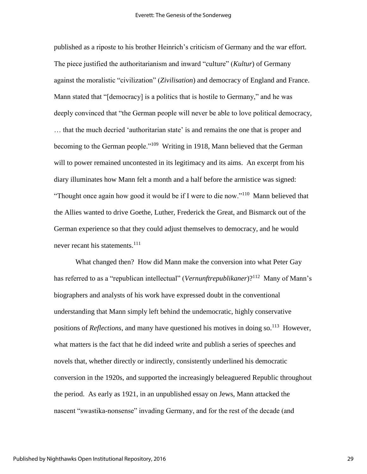published as a riposte to his brother Heinrich's criticism of Germany and the war effort. The piece justified the authoritarianism and inward "culture" (*Kultur*) of Germany against the moralistic "civilization" (*Zivilisation*) and democracy of England and France. Mann stated that "[democracy] is a politics that is hostile to Germany," and he was deeply convinced that "the German people will never be able to love political democracy, … that the much decried 'authoritarian state' is and remains the one that is proper and becoming to the German people."<sup>109</sup> Writing in 1918, Mann believed that the German will to power remained uncontested in its legitimacy and its aims. An excerpt from his diary illuminates how Mann felt a month and a half before the armistice was signed: "Thought once again how good it would be if I were to die now."<sup>110</sup> Mann believed that the Allies wanted to drive Goethe, Luther, Frederick the Great, and Bismarck out of the German experience so that they could adjust themselves to democracy, and he would never recant his statements.<sup>111</sup>

What changed then? How did Mann make the conversion into what Peter Gay has referred to as a "republican intellectual" (*Vernunftrepublikaner*)?<sup>112</sup> Many of Mann's biographers and analysts of his work have expressed doubt in the conventional understanding that Mann simply left behind the undemocratic, highly conservative positions of *Reflections*, and many have questioned his motives in doing so.<sup>113</sup> However, what matters is the fact that he did indeed write and publish a series of speeches and novels that, whether directly or indirectly, consistently underlined his democratic conversion in the 1920s, and supported the increasingly beleaguered Republic throughout the period. As early as 1921, in an unpublished essay on Jews, Mann attacked the nascent "swastika-nonsense" invading Germany, and for the rest of the decade (and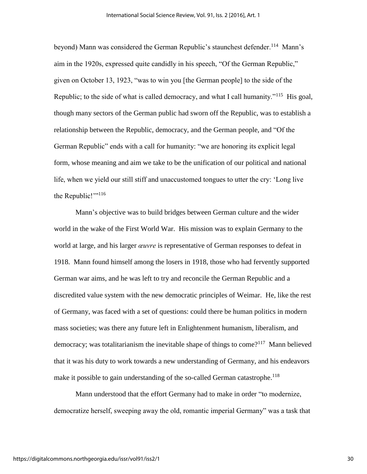beyond) Mann was considered the German Republic's staunchest defender.<sup>114</sup> Mann's aim in the 1920s, expressed quite candidly in his speech, "Of the German Republic," given on October 13, 1923, "was to win you [the German people] to the side of the Republic; to the side of what is called democracy, and what I call humanity."<sup>115</sup> His goal, though many sectors of the German public had sworn off the Republic, was to establish a relationship between the Republic, democracy, and the German people, and "Of the German Republic" ends with a call for humanity: "we are honoring its explicit legal form, whose meaning and aim we take to be the unification of our political and national life, when we yield our still stiff and unaccustomed tongues to utter the cry: 'Long live the Republic!"<sup>116</sup>

Mann's objective was to build bridges between German culture and the wider world in the wake of the First World War. His mission was to explain Germany to the world at large, and his larger *œuvre* is representative of German responses to defeat in 1918. Mann found himself among the losers in 1918, those who had fervently supported German war aims, and he was left to try and reconcile the German Republic and a discredited value system with the new democratic principles of Weimar. He, like the rest of Germany, was faced with a set of questions: could there be human politics in modern mass societies; was there any future left in Enlightenment humanism, liberalism, and democracy; was totalitarianism the inevitable shape of things to come?<sup>117</sup> Mann believed that it was his duty to work towards a new understanding of Germany, and his endeavors make it possible to gain understanding of the so-called German catastrophe.<sup>118</sup>

Mann understood that the effort Germany had to make in order "to modernize, democratize herself, sweeping away the old, romantic imperial Germany" was a task that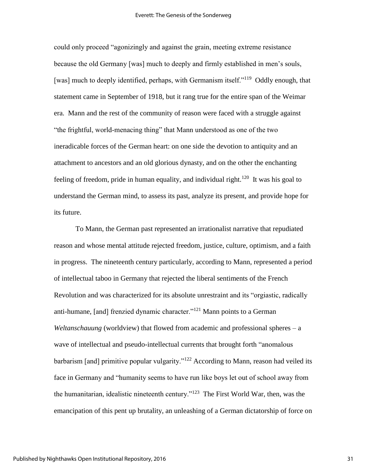could only proceed "agonizingly and against the grain, meeting extreme resistance because the old Germany [was] much to deeply and firmly established in men's souls, [was] much to deeply identified, perhaps, with Germanism itself."<sup>119</sup> Oddly enough, that statement came in September of 1918, but it rang true for the entire span of the Weimar era. Mann and the rest of the community of reason were faced with a struggle against "the frightful, world-menacing thing" that Mann understood as one of the two ineradicable forces of the German heart: on one side the devotion to antiquity and an attachment to ancestors and an old glorious dynasty, and on the other the enchanting feeling of freedom, pride in human equality, and individual right.<sup>120</sup> It was his goal to understand the German mind, to assess its past, analyze its present, and provide hope for its future.

To Mann, the German past represented an irrationalist narrative that repudiated reason and whose mental attitude rejected freedom, justice, culture, optimism, and a faith in progress. The nineteenth century particularly, according to Mann, represented a period of intellectual taboo in Germany that rejected the liberal sentiments of the French Revolution and was characterized for its absolute unrestraint and its "orgiastic, radically anti-humane, [and] frenzied dynamic character."<sup>121</sup> Mann points to a German *Weltanschauung* (worldview) that flowed from academic and professional spheres – a wave of intellectual and pseudo-intellectual currents that brought forth "anomalous barbarism [and] primitive popular vulgarity."<sup>122</sup> According to Mann, reason had veiled its face in Germany and "humanity seems to have run like boys let out of school away from the humanitarian, idealistic nineteenth century."<sup>123</sup> The First World War, then, was the emancipation of this pent up brutality, an unleashing of a German dictatorship of force on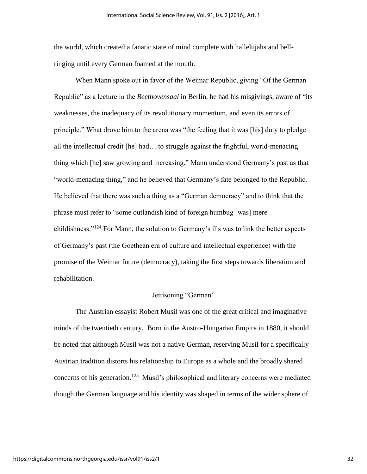the world, which created a fanatic state of mind complete with hallelujahs and bellringing until every German foamed at the mouth.

When Mann spoke out in favor of the Weimar Republic, giving "Of the German Republic" as a lecture in the *Beethovensaal* in Berlin, he had his misgivings, aware of "its weaknesses, the inadequacy of its revolutionary momentum, and even its errors of principle." What drove him to the arena was "the feeling that it was [his] duty to pledge all the intellectual credit [he] had… to struggle against the frightful, world-menacing thing which [he] saw growing and increasing." Mann understood Germany's past as that "world-menacing thing," and he believed that Germany's fate belonged to the Republic. He believed that there was such a thing as a "German democracy" and to think that the phrase must refer to "some outlandish kind of foreign humbug [was] mere childishness."<sup>124</sup> For Mann, the solution to Germany's ills was to link the better aspects of Germany's past (the Goethean era of culture and intellectual experience) with the promise of the Weimar future (democracy), taking the first steps towards liberation and rehabilitation.

#### Jettisoning "German"

The Austrian essayist Robert Musil was one of the great critical and imaginative minds of the twentieth century. Born in the Austro-Hungarian Empire in 1880, it should be noted that although Musil was not a native German, reserving Musil for a specifically Austrian tradition distorts his relationship to Europe as a whole and the broadly shared concerns of his generation.<sup>125</sup> Musil's philosophical and literary concerns were mediated though the German language and his identity was shaped in terms of the wider sphere of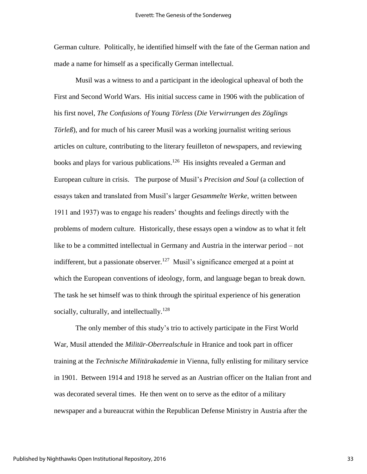German culture. Politically, he identified himself with the fate of the German nation and made a name for himself as a specifically German intellectual.

Musil was a witness to and a participant in the ideological upheaval of both the First and Second World Wars. His initial success came in 1906 with the publication of his first novel, *The Confusions of Young Törless* (*Die Verwirrungen des Zöglings Törleß*), and for much of his career Musil was a working journalist writing serious articles on culture, contributing to the literary feuilleton of newspapers, and reviewing books and plays for various publications.<sup>126</sup> His insights revealed a German and European culture in crisis. The purpose of Musil's *Precision and Soul* (a collection of essays taken and translated from Musil's larger *Gesammelte Werke*, written between 1911 and 1937) was to engage his readers' thoughts and feelings directly with the problems of modern culture. Historically, these essays open a window as to what it felt like to be a committed intellectual in Germany and Austria in the interwar period – not indifferent, but a passionate observer.<sup>127</sup> Musil's significance emerged at a point at which the European conventions of ideology, form, and language began to break down. The task he set himself was to think through the spiritual experience of his generation socially, culturally, and intellectually.<sup>128</sup>

The only member of this study's trio to actively participate in the First World War, Musil attended the *Militär-Oberrealschule* in Hranice and took part in officer training at the *Technische Militärakademie* in Vienna, fully enlisting for military service in 1901. Between 1914 and 1918 he served as an Austrian officer on the Italian front and was decorated several times. He then went on to serve as the editor of a military newspaper and a bureaucrat within the Republican Defense Ministry in Austria after the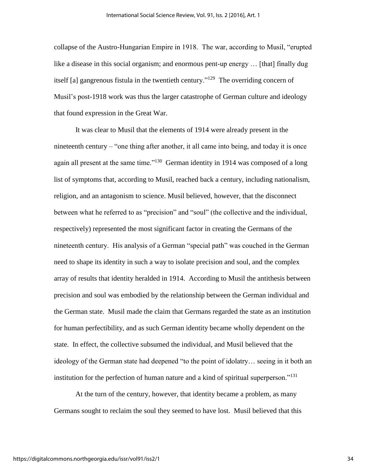collapse of the Austro-Hungarian Empire in 1918. The war, according to Musil, "erupted like a disease in this social organism; and enormous pent-up energy ... [that] finally dug itself [a] gangrenous fistula in the twentieth century."<sup>129</sup> The overriding concern of Musil's post-1918 work was thus the larger catastrophe of German culture and ideology that found expression in the Great War.

It was clear to Musil that the elements of 1914 were already present in the nineteenth century – "one thing after another, it all came into being, and today it is once again all present at the same time."<sup>130</sup> German identity in 1914 was composed of a long list of symptoms that, according to Musil, reached back a century, including nationalism, religion, and an antagonism to science. Musil believed, however, that the disconnect between what he referred to as "precision" and "soul" (the collective and the individual, respectively) represented the most significant factor in creating the Germans of the nineteenth century. His analysis of a German "special path" was couched in the German need to shape its identity in such a way to isolate precision and soul, and the complex array of results that identity heralded in 1914. According to Musil the antithesis between precision and soul was embodied by the relationship between the German individual and the German state. Musil made the claim that Germans regarded the state as an institution for human perfectibility, and as such German identity became wholly dependent on the state. In effect, the collective subsumed the individual, and Musil believed that the ideology of the German state had deepened "to the point of idolatry… seeing in it both an institution for the perfection of human nature and a kind of spiritual superperson."<sup>131</sup>

At the turn of the century, however, that identity became a problem, as many Germans sought to reclaim the soul they seemed to have lost. Musil believed that this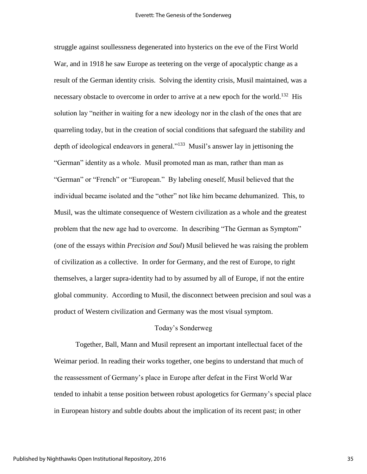struggle against soullessness degenerated into hysterics on the eve of the First World War, and in 1918 he saw Europe as teetering on the verge of apocalyptic change as a result of the German identity crisis. Solving the identity crisis, Musil maintained, was a necessary obstacle to overcome in order to arrive at a new epoch for the world.<sup>132</sup> His solution lay "neither in waiting for a new ideology nor in the clash of the ones that are quarreling today, but in the creation of social conditions that safeguard the stability and depth of ideological endeavors in general."<sup>133</sup> Musil's answer lay in jettisoning the "German" identity as a whole. Musil promoted man as man, rather than man as "German" or "French" or "European." By labeling oneself, Musil believed that the individual became isolated and the "other" not like him became dehumanized. This, to Musil, was the ultimate consequence of Western civilization as a whole and the greatest problem that the new age had to overcome. In describing "The German as Symptom" (one of the essays within *Precision and Soul*) Musil believed he was raising the problem of civilization as a collective. In order for Germany, and the rest of Europe, to right themselves, a larger supra-identity had to by assumed by all of Europe, if not the entire global community. According to Musil, the disconnect between precision and soul was a product of Western civilization and Germany was the most visual symptom.

#### Today's Sonderweg

Together, Ball, Mann and Musil represent an important intellectual facet of the Weimar period. In reading their works together, one begins to understand that much of the reassessment of Germany's place in Europe after defeat in the First World War tended to inhabit a tense position between robust apologetics for Germany's special place in European history and subtle doubts about the implication of its recent past; in other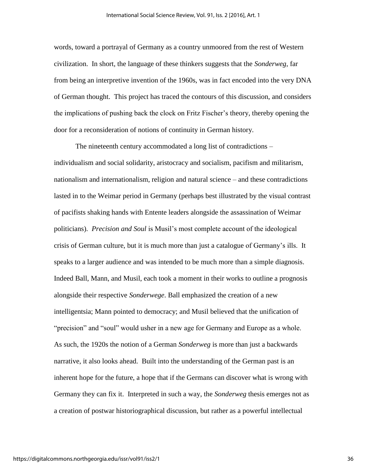words, toward a portrayal of Germany as a country unmoored from the rest of Western civilization. In short, the language of these thinkers suggests that the *Sonderweg*, far from being an interpretive invention of the 1960s, was in fact encoded into the very DNA of German thought. This project has traced the contours of this discussion, and considers the implications of pushing back the clock on Fritz Fischer's theory, thereby opening the door for a reconsideration of notions of continuity in German history.

The nineteenth century accommodated a long list of contradictions – individualism and social solidarity, aristocracy and socialism, pacifism and militarism, nationalism and internationalism, religion and natural science – and these contradictions lasted in to the Weimar period in Germany (perhaps best illustrated by the visual contrast of pacifists shaking hands with Entente leaders alongside the assassination of Weimar politicians). *Precision and Soul* is Musil's most complete account of the ideological crisis of German culture, but it is much more than just a catalogue of Germany's ills. It speaks to a larger audience and was intended to be much more than a simple diagnosis. Indeed Ball, Mann, and Musil, each took a moment in their works to outline a prognosis alongside their respective *Sonderwege*. Ball emphasized the creation of a new intelligentsia; Mann pointed to democracy; and Musil believed that the unification of "precision" and "soul" would usher in a new age for Germany and Europe as a whole. As such, the 1920s the notion of a German *Sonderweg* is more than just a backwards narrative, it also looks ahead. Built into the understanding of the German past is an inherent hope for the future, a hope that if the Germans can discover what is wrong with Germany they can fix it. Interpreted in such a way, the *Sonderweg* thesis emerges not as a creation of postwar historiographical discussion, but rather as a powerful intellectual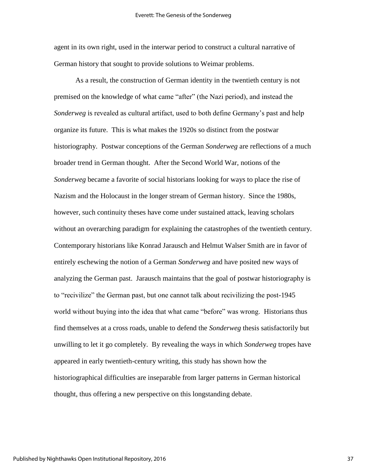agent in its own right, used in the interwar period to construct a cultural narrative of German history that sought to provide solutions to Weimar problems.

As a result, the construction of German identity in the twentieth century is not premised on the knowledge of what came "after" (the Nazi period), and instead the *Sonderweg* is revealed as cultural artifact, used to both define Germany's past and help organize its future. This is what makes the 1920s so distinct from the postwar historiography. Postwar conceptions of the German *Sonderweg* are reflections of a much broader trend in German thought. After the Second World War, notions of the *Sonderweg* became a favorite of social historians looking for ways to place the rise of Nazism and the Holocaust in the longer stream of German history. Since the 1980s, however, such continuity theses have come under sustained attack, leaving scholars without an overarching paradigm for explaining the catastrophes of the twentieth century. Contemporary historians like Konrad Jarausch and Helmut Walser Smith are in favor of entirely eschewing the notion of a German *Sonderweg* and have posited new ways of analyzing the German past. Jarausch maintains that the goal of postwar historiography is to "recivilize" the German past, but one cannot talk about recivilizing the post-1945 world without buying into the idea that what came "before" was wrong. Historians thus find themselves at a cross roads, unable to defend the *Sonderweg* thesis satisfactorily but unwilling to let it go completely. By revealing the ways in which *Sonderweg* tropes have appeared in early twentieth-century writing, this study has shown how the historiographical difficulties are inseparable from larger patterns in German historical thought, thus offering a new perspective on this longstanding debate.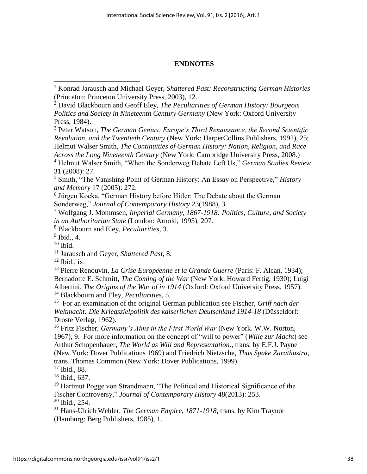## **ENDNOTES**

- <sup>2</sup> David Blackbourn and Geoff Eley, *The Peculiarities of German History: Bourgeois Politics and Society in Nineteenth Century Germany* (New York: Oxford University Press, 1984).
- <sup>3</sup> Peter Watson, *The German Genius: Europe's Third Renaissance, the Second Scientific Revolution, and the Twentieth Century* (New York: HarperCollins Publishers, 1992), 25; Helmut Walser Smith, *The Continuities of German History: Nation, Religion, and Race Across the Long Nineteenth Century* (New York: Cambridge University Press, 2008.)

<sup>5</sup> Smith, "The Vanishing Point of German History: An Essay on Perspective," *History and Memory* 17 (2005): 272.

<sup>6</sup> Jürgen Kocka, "German History before Hitler: The Debate about the German Sonderweg," *Journal of Contemporary History* 23(1988), 3.

<sup>7</sup> Wolfgang J. Mommsen, *Imperial Germany, 1867-1918: Politics, Culture, and Society in an Authoritarian State* (London: Arnold, 1995), 207.

<sup>8</sup> Blackbourn and Eley, *Peculiarities*, 3.

 $<sup>9</sup>$  Ibid., 4.</sup>

 $10$  Ibid.

 $\overline{\phantom{a}}$ 

<sup>11</sup> Jarausch and Geyer, *Shattered Past*, 8.

 $12$  Ibid., ix.

<sup>13</sup> Pierre Renouvin, *La Crise Européenne et la Grande Guerre* (Paris: F. Alcan, 1934); Bernadotte E. Schmitt, *The Coming of the War* (New York: Howard Fertig, 1930); Luigi Albertini, *The Origins of the War of in 1914* (Oxford: Oxford University Press, 1957). <sup>14</sup> Blackbourn and Eley, *Peculiarities*, 5.

15 For an examination of the original German publication see Fischer, *Griff nach der Weltmacht: Die Kriegszielpolitik des kaiserlichen Deutschland 1914-18* (Düsseldorf: Droste Verlag, 1962).

<sup>16</sup> Fritz Fischer, *Germany's Aims in the First World War* (New York. W.W. Norton, 1967), 9. For more information on the concept of "will to power" (*Wille zur Macht*) see Arthur Schopenhauer, *The World as Will and Representation*., trans. by E.F.J. Payne (New York: Dover Publications 1969) and Friedrich Nietzsche, *Thus Spake Zarathustra*, trans. Thomas Common (New York: Dover Publications, 1999).

<sup>17</sup> Ibid., 88.

<sup>18</sup> Ibid., 637.

<sup>19</sup> Hartmut Pogge von Strandmann, "The Political and Historical Significance of the Fischer Controversy," *Journal of Contemporary History* 48(2013): 253. <sup>20</sup> Ibid., 254.

<sup>21</sup> Hans-Ulrich Wehler, *The German Empire*, *1871-1918*, trans. by Kim Traynor (Hamburg: Berg Publishers, 1985), 1.

<sup>1</sup> Konrad Jarausch and Michael Geyer, *Shattered Past: Reconstructing German Histories*  (Princeton: Princeton University Press, 2003), 12.

<sup>4</sup> Helmut Walser Smith, "When the Sonderweg Debate Left Us," *German Studies Review*  31 (2008): 27.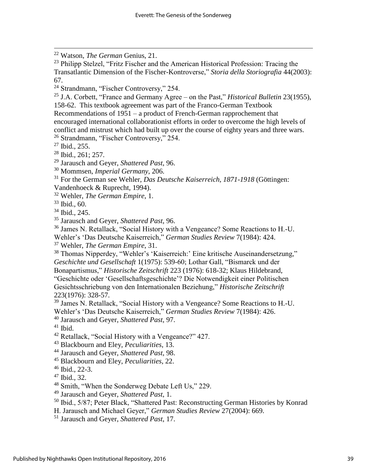<sup>22</sup> Watson, *The German* Genius, 21.

<sup>23</sup> Philipp Stelzel, "Fritz Fischer and the American Historical Profession: Tracing the Transatlantic Dimension of the Fischer-Kontroverse," *Storia della Storiografia* 44(2003): 67.

<sup>24</sup> Strandmann, "Fischer Controversy," 254.

<sup>25</sup> J.A. Corbett, "France and Germany Agree – on the Past," *Historical Bulletin* 23(1955), 158-62. This textbook agreement was part of the Franco-German Textbook Recommendations of 1951 – a product of French-German rapprochement that encouraged international collaborationist efforts in order to overcome the high levels of conflict and mistrust which had built up over the course of eighty years and three wars. <sup>26</sup> Strandmann, "Fischer Controversy," 254.

<sup>27</sup> Ibid., 255.

 $\overline{\phantom{a}}$ 

<sup>28</sup> Ibid., 261; 257.

<sup>29</sup> Jarausch and Geyer, *Shattered Past*, 96.

<sup>30</sup> Mommsen, *Imperial Germany*, 206.

<sup>31</sup> For the German see Wehler, *Das Deutsche Kaiserreich, 1871-1918* (Göttingen:

Vandenhoeck & Ruprecht, 1994).

<sup>32</sup> Wehler, *The German Empire*, 1.

 $33$  Ibid., 60.

<sup>34</sup> Ibid., 245.

<sup>35</sup> Jarausch and Geyer, *Shattered Past*, 96.

<sup>36</sup> James N. Retallack, "Social History with a Vengeance? Some Reactions to H.-U.

Wehler's 'Das Deutsche Kaiserreich," *German Studies Review* 7(1984): 424.

<sup>37</sup> Wehler, *The German Empire*, 31.

<sup>38</sup> Thomas Nipperdey, "Wehler's 'Kaiserreich:' Eine kritische Auseinandersetzung," *Geschichte und Gesellschaft* 1(1975): 539-60; Lothar Gall, "Bismarck und der Bonapartismus," *Historische Zeitschrift* 223 (1976): 618-32; Klaus Hildebrand, "Geschichte oder 'Gesellschaftsgeschichte'? Die Notwendigkeit einer Politischen Gesichtsschriebung von den Internationalen Beziehung," *Historische Zeitschrift*  223(1976): 328-57.

<sup>39</sup> James N. Retallack, "Social History with a Vengeance? Some Reactions to H.-U. Wehler's 'Das Deutsche Kaiserreich," *German Studies Review* 7(1984): 426.

<sup>40</sup> Jarausch and Geyer, *Shattered Past*, 97.

 $41$  Ibid.

<sup>42</sup> Retallack, "Social History with a Vengeance?" 427.

<sup>43</sup> Blackbourn and Eley, *Peculiarities*, 13.

<sup>44</sup> Jarausch and Geyer, *Shattered Past*, 98.

<sup>45</sup> Blackbourn and Eley, *Peculiarities*, 22.

<sup>46</sup> Ibid., 22-3.

 $47$  Ibid., 32.

<sup>48</sup> Smith, "When the Sonderweg Debate Left Us," 229.

<sup>49</sup> Jarausch and Geyer, *Shattered Past*, 1.

<sup>50</sup> Ibid., 5/87; Peter Black, "Shattered Past: Reconstructing German Histories by Konrad

H. Jarausch and Michael Geyer," *German Studies Review* 27(2004): 669.

<sup>51</sup> Jarausch and Geyer, *Shattered Past*, 17.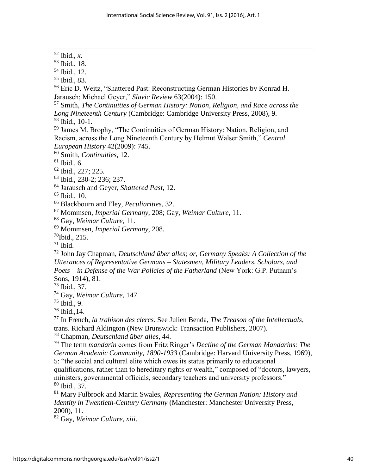Ibid., *x*. Ibid., 18. Ibid., 12. Ibid., 83. Eric D. Weitz, "Shattered Past: Reconstructing German Histories by Konrad H. Jarausch; Michael Geyer," *Slavic Review* 63(2004): 150. Smith, *The Continuities of German History: Nation, Religion, and Race across the Long Nineteenth Century* (Cambridge: Cambridge University Press, 2008), 9. Ibid., 10-1. James M. Brophy, "The Continuities of German History: Nation, Religion, and Racism, across the Long Nineteenth Century by Helmut Walser Smith," *Central European History* 42(2009): 745. Smith, *Continuities*, 12. Ibid., 6. Ibid., 227; 225. Ibid., 230-2; 236; 237. Jarausch and Geyer, *Shattered Past*, 12. Ibid., 10. Blackbourn and Eley, *Peculiarities*, 32. Mommsen, *Imperial Germany*, 208; Gay, *Weimar Culture*, 11. Gay, *Weimar Culture*, 11. Mommsen, *Imperial Germany*, 208. Ibid., 215. Ibid. John Jay Chapman, *Deutschland über alles; or, Germany Speaks: A Collection of the Utterances of Representative Germans – Statesmen, Military Leaders, Scholars, and* 

*Poets – in Defense of the War Policies of the Fatherland* (New York: G.P. Putnam's Sons, 1914), 81.

Ibid., 37.

 $\overline{\phantom{a}}$ 

Gay, *Weimar Culture*, 147.

Ibid., 9.

Ibid., 14.

 In French, *la trahison des clercs*. See Julien Benda, *The Treason of the Intellectuals*, trans. Richard Aldington (New Brunswick: Transaction Publishers, 2007).

Chapman, *Deutschland über alles*, 44.

 The term *mandarin* comes from Fritz Ringer's *Decline of the German Mandarins: The German Academic Community, 1890-1933* (Cambridge: Harvard University Press, 1969), 5: "the social and cultural elite which owes its status primarily to educational

qualifications, rather than to hereditary rights or wealth," composed of "doctors, lawyers, ministers, governmental officials, secondary teachers and university professors." Ibid., 37.

 Mary Fulbrook and Martin Swales, *Representing the German Nation: History and Identity in Twentieth-Century Germany* (Manchester: Manchester University Press, 2000), 11.

Gay, *Weimar Culture*, *xiii*.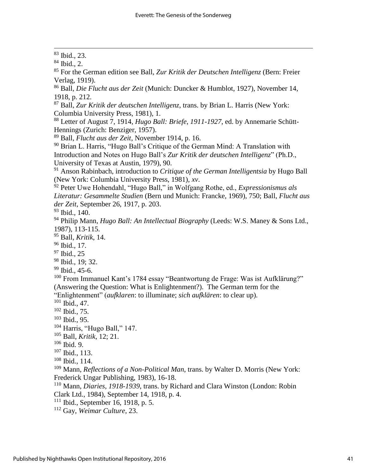$\overline{\phantom{a}}$ 

 For the German edition see Ball, *Zur Kritik der Deutschen Intelligenz* (Bern: Freier Verlag, 1919).

 Ball, *Die Flucht aus der Zeit* (Munich: Duncker & Humblot, 1927), November 14, 1918, p. 212.

 Ball, *Zur Kritik der deutschen Intelligenz*, trans. by Brian L. Harris (New York: Columbia University Press, 1981), 1.

 Letter of August 7, 1914, *Hugo Ball: Briefe*, *1911-1927*, ed. by Annemarie Schütt-Hennings (Zurich: Benziger, 1957).

Ball, *Flucht aus der Zeit*, November 1914, p. 16.

 Brian L. Harris, "Hugo Ball's Critique of the German Mind: A Translation with Introduction and Notes on Hugo Ball's *Zur Kritik der deutschen Intelligenz*" (Ph.D., University of Texas at Austin, 1979), 90.

 Anson Rabinbach, introduction to *Critique of the German Intelligentsia* by Hugo Ball (New York: Columbia University Press, 1981), *xv*.

 Peter Uwe Hohendahl, "Hugo Ball," in Wolfgang Rothe, ed., *Expressionismus als Literatur: Gesammelte Studien* (Bern und Munich: Francke, 1969), 750; Ball, *Flucht aus der Zeit*, September 26, 1917, p. 203.

<sup>93</sup> Ibid., 140.

 Philip Mann, *Hugo Ball: An Intellectual Biography* (Leeds: W.S. Maney & Sons Ltd., 1987), 113-115.

Ball, *Kritik*, 14.

Ibid., 17.

Ibid., 25

Ibid., 45-6.

 From Immanuel Kant's 1784 essay "Beantwortung de Frage: Was ist Aufklärung?" (Answering the Question: What is Enlightenment?). The German term for the

"Enlightenment" (*aufklaren*: to illuminate; *sich aufklären*: to clear up).

Ibid., 47.

- Ibid., 75.
- Ibid., 95.

Harris, "Hugo Ball," 147.

Ball, *Kritik*, 12; 21.

Ibid. 9.

Ibid., 113.

Ibid., 114.

 Mann, *Reflections of a Non-Political Man*, trans. by Walter D. Morris (New York: Frederick Ungar Publishing, 1983), 16-18.

 Mann, *Diaries, 1918-1939*, trans. by Richard and Clara Winston (London: Robin Clark Ltd., 1984), September 14, 1918, p. 4.

Ibid., September 16, 1918, p. 5.

Gay, *Weimar Culture*, 23.

Ibid., 23.

Ibid., 2.

Ibid., 19; 32.